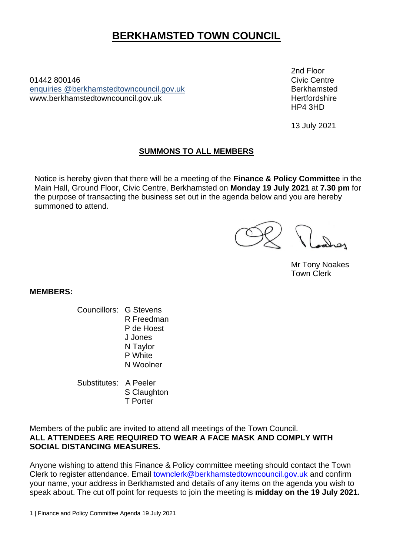# **BERKHAMSTED TOWN COUNCIL**

01442 800146Civic Centre enquiries [@berkhamstedtowncouncil.gov.uk](mailto:berkhamsted.towncouncil@dacorum.gov.uk) Berkhamsted www.berkhamstedtowncouncil.gov.uk hertfordshire

2nd Floor HP4 3HD

13 July 2021

## **SUMMONS TO ALL MEMBERS**

Notice is hereby given that there will be a meeting of the **Finance & Policy Committee** in the Main Hall, Ground Floor, Civic Centre, Berkhamsted on **Monday 19 July 2021** at **7.30 pm** for the purpose of transacting the business set out in the agenda below and you are hereby summoned to attend.

Mr Tony Noakes Town Clerk

**MEMBERS:**

- Councillors: G Stevens R Freedman P de Hoest J Jones N Taylor P White N Woolner
- Substitutes: A Peeler S Claughton T Porter

Members of the public are invited to attend all meetings of the Town Council. **ALL ATTENDEES ARE REQUIRED TO WEAR A FACE MASK AND COMPLY WITH SOCIAL DISTANCING MEASURES.** 

Anyone wishing to attend this Finance & Policy committee meeting should contact the Town Clerk to register attendance. Email [townclerk@berkhamstedtowncouncil.gov.uk](mailto:townclerk@berkhamstedtowncouncil.gov.uk) and confirm your name, your address in Berkhamsted and details of any items on the agenda you wish to speak about. The cut off point for requests to join the meeting is **midday on the 19 July 2021.**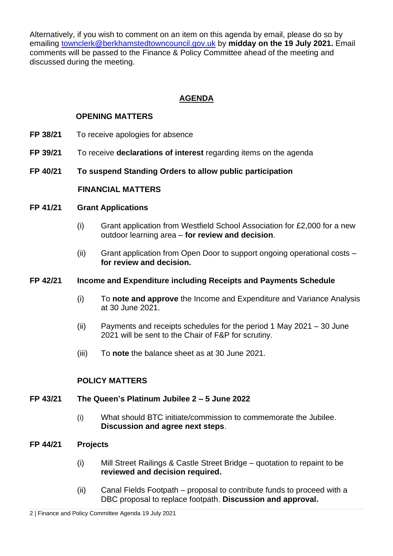Alternatively, if you wish to comment on an item on this agenda by email, please do so by emailing [townclerk@berkhamstedtowncouncil.gov.uk](mailto:townclerk@berkhamstedtowncouncil.gov.uk) by **midday on the 19 July 2021.** Email comments will be passed to the Finance & Policy Committee ahead of the meeting and discussed during the meeting.

# **AGENDA**

## **OPENING MATTERS**

- **FP 38/21** To receive apologies for absence
- **FP 39/21** To receive **declarations of interest** regarding items on the agenda
- **FP 40/21 To suspend Standing Orders to allow public participation**

#### **FINANCIAL MATTERS**

#### **FP 41/21 Grant Applications**

- (i) Grant application from Westfield School Association for £2,000 for a new outdoor learning area – **for review and decision**.
- (ii) Grant application from Open Door to support ongoing operational costs **for review and decision.**

#### **FP 42/21 Income and Expenditure including Receipts and Payments Schedule**

- (i) To **note and approve** the Income and Expenditure and Variance Analysis at 30 June 2021.
- (ii) Payments and receipts schedules for the period 1 May 2021 30 June 2021 will be sent to the Chair of F&P for scrutiny.
- (iii) To **note** the balance sheet as at 30 June 2021.

#### **POLICY MATTERS**

#### **FP 43/21 The Queen's Platinum Jubilee 2 – 5 June 2022**

(i) What should BTC initiate/commission to commemorate the Jubilee. **Discussion and agree next steps**.

#### **FP 44/21 Projects**

- (i) Mill Street Railings & Castle Street Bridge quotation to repaint to be **reviewed and decision required.**
- (ii) Canal Fields Footpath proposal to contribute funds to proceed with a DBC proposal to replace footpath. **Discussion and approval.**